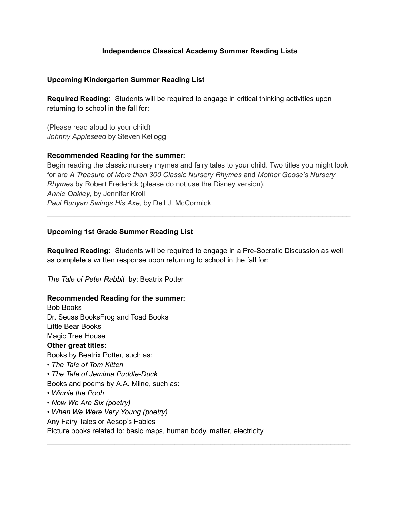# **Independence Classical Academy Summer Reading Lists**

# **Upcoming Kindergarten Summer Reading List**

**Required Reading:** Students will be required to engage in critical thinking activities upon returning to school in the fall for:

(Please read aloud to your child) *Johnny Appleseed* by Steven Kellogg

## **Recommended Reading for the summer:**

Begin reading the classic nursery rhymes and fairy tales to your child. Two titles you might look for are *A Treasure of More than 300 Classic Nursery Rhymes* and *Mother Goose's Nursery Rhymes* by Robert Frederick (please do not use the Disney version). *Annie Oakley*, by Jennifer Kroll *Paul Bunyan Swings His Axe*, by Dell J. McCormick

 $\mathcal{L}_\text{max}$  and  $\mathcal{L}_\text{max}$  and  $\mathcal{L}_\text{max}$  and  $\mathcal{L}_\text{max}$  and  $\mathcal{L}_\text{max}$  and  $\mathcal{L}_\text{max}$ 

# **Upcoming 1st Grade Summer Reading List**

**Required Reading:** Students will be required to engage in a Pre-Socratic Discussion as well as complete a written response upon returning to school in the fall for:

 $\mathcal{L}_\text{max}$  and  $\mathcal{L}_\text{max}$  and  $\mathcal{L}_\text{max}$  and  $\mathcal{L}_\text{max}$  and  $\mathcal{L}_\text{max}$  and  $\mathcal{L}_\text{max}$ 

*The Tale of Peter Rabbit* by: Beatrix Potter

# **Recommended Reading for the summer:**

Bob Books Dr. Seuss BooksFrog and Toad Books Little Bear Books Magic Tree House **Other great titles:** Books by Beatrix Potter, such as: *• The Tale of Tom Kitten • The Tale of Jemima Puddle-Duck* Books and poems by A.A. Milne, such as: • *Winnie the Pooh • Now We Are Six (poetry) • When We Were Very Young (poetry)* Any Fairy Tales or Aesop's Fables Picture books related to: basic maps, human body, matter, electricity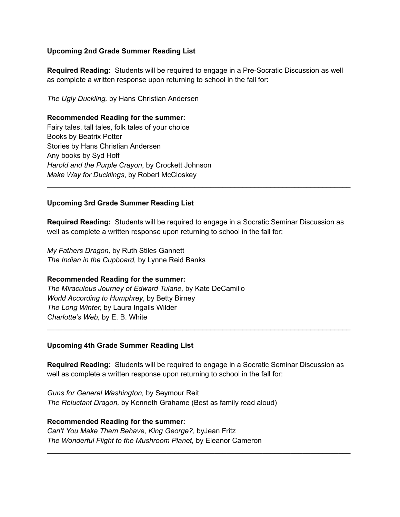# **Upcoming 2nd Grade Summer Reading List**

**Required Reading:** Students will be required to engage in a Pre-Socratic Discussion as well as complete a written response upon returning to school in the fall for:

*The Ugly Duckling,* by Hans Christian Andersen

## **Recommended Reading for the summer:**

Fairy tales, tall tales, folk tales of your choice Books by Beatrix Potter Stories by Hans Christian Andersen Any books by Syd Hoff *Harold and the Purple Crayon*, by Crockett Johnson *Make Way for Ducklings*, by Robert McCloskey

# **Upcoming 3rd Grade Summer Reading List**

**Required Reading:** Students will be required to engage in a Socratic Seminar Discussion as well as complete a written response upon returning to school in the fall for:

 $\mathcal{L}_\text{max}$  and  $\mathcal{L}_\text{max}$  and  $\mathcal{L}_\text{max}$  and  $\mathcal{L}_\text{max}$  and  $\mathcal{L}_\text{max}$  and  $\mathcal{L}_\text{max}$ 

*My Fathers Dragon,* by Ruth Stiles Gannett *The Indian in the Cupboard,* by Lynne Reid Banks

#### **Recommended Reading for the summer:**

*The Miraculous Journey of Edward Tulane,* by Kate DeCamillo *World According to Humphrey*, by Betty Birney *The Long Winter,* by Laura Ingalls Wilder *Charlotte's Web,* by E. B. White

#### **Upcoming 4th Grade Summer Reading List**

**Required Reading:** Students will be required to engage in a Socratic Seminar Discussion as well as complete a written response upon returning to school in the fall for:

 $\mathcal{L}_\text{max}$  and  $\mathcal{L}_\text{max}$  and  $\mathcal{L}_\text{max}$  and  $\mathcal{L}_\text{max}$  and  $\mathcal{L}_\text{max}$  and  $\mathcal{L}_\text{max}$ 

 $\mathcal{L}_\text{max}$  and  $\mathcal{L}_\text{max}$  and  $\mathcal{L}_\text{max}$  and  $\mathcal{L}_\text{max}$  and  $\mathcal{L}_\text{max}$  and  $\mathcal{L}_\text{max}$ 

*Guns for General Washington,* by Seymour Reit *The Reluctant Dragon,* by Kenneth Grahame (Best as family read aloud)

## **Recommended Reading for the summer:**

*Can't You Make Them Behave, King George?*, byJean Fritz *The Wonderful Flight to the Mushroom Planet,* by Eleanor Cameron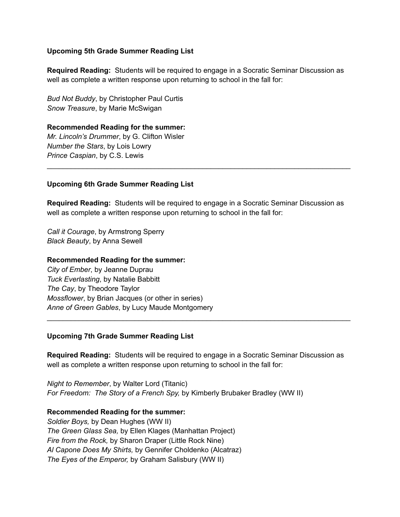## **Upcoming 5th Grade Summer Reading List**

**Required Reading:** Students will be required to engage in a Socratic Seminar Discussion as well as complete a written response upon returning to school in the fall for:

*Bud Not Buddy*, by Christopher Paul Curtis *Snow Treasure*, by Marie McSwigan

**Recommended Reading for the summer:** *Mr. Lincoln's Drummer*, by G. Clifton Wisler *Number the Stars*, by Lois Lowry *Prince Caspian*, by C.S. Lewis

## **Upcoming 6th Grade Summer Reading List**

**Required Reading:** Students will be required to engage in a Socratic Seminar Discussion as well as complete a written response upon returning to school in the fall for:

 $\mathcal{L}_\text{max}$  and  $\mathcal{L}_\text{max}$  and  $\mathcal{L}_\text{max}$  and  $\mathcal{L}_\text{max}$  and  $\mathcal{L}_\text{max}$  and  $\mathcal{L}_\text{max}$ 

*Call it Courage*, by Armstrong Sperry *Black Beauty*, by Anna Sewell

#### **Recommended Reading for the summer:**

*City of Ember*, by Jeanne Duprau *Tuck Everlasting*, by Natalie Babbitt *The Cay*, by Theodore Taylor *Mossflower*, by Brian Jacques (or other in series) *Anne of Green Gables*, by Lucy Maude Montgomery

#### **Upcoming 7th Grade Summer Reading List**

**Required Reading:** Students will be required to engage in a Socratic Seminar Discussion as well as complete a written response upon returning to school in the fall for:

 $\mathcal{L}_\text{max}$  and  $\mathcal{L}_\text{max}$  and  $\mathcal{L}_\text{max}$  and  $\mathcal{L}_\text{max}$  and  $\mathcal{L}_\text{max}$  and  $\mathcal{L}_\text{max}$ 

*Night to Remember*, by Walter Lord (Titanic) *For Freedom: The Story of a French Spy,* by Kimberly Brubaker Bradley (WW II)

#### **Recommended Reading for the summer:**

*Soldier Boys,* by Dean Hughes (WW II) *The Green Glass Sea,* by Ellen Klages (Manhattan Project) *Fire from the Rock,* by Sharon Draper (Little Rock Nine) *Al Capone Does My Shirts,* by Gennifer Choldenko (Alcatraz) *The Eyes of the Emperor,* by Graham Salisbury (WW II)